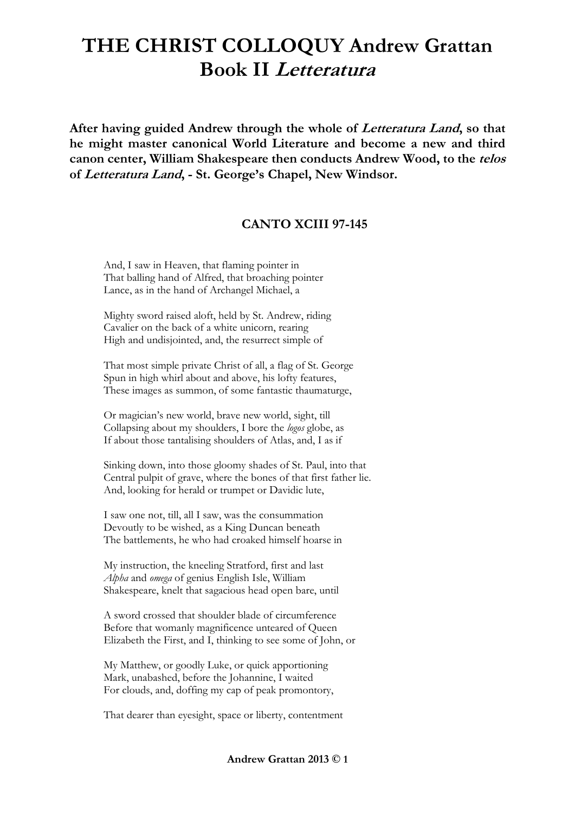## **THE CHRIST COLLOQUY Andrew Grattan Book II Letteratura**

**After having guided Andrew through the whole of Letteratura Land, so that he might master canonical World Literature and become a new and third canon center, William Shakespeare then conducts Andrew Wood, to the telos of Letteratura Land, - St. George's Chapel, New Windsor.**

## **CANTO XCIII 97-145**

And, I saw in Heaven, that flaming pointer in That balling hand of Alfred, that broaching pointer Lance, as in the hand of Archangel Michael, a

Mighty sword raised aloft, held by St. Andrew, riding Cavalier on the back of a white unicorn, rearing High and undisjointed, and, the resurrect simple of

That most simple private Christ of all, a flag of St. George Spun in high whirl about and above, his lofty features, These images as summon, of some fantastic thaumaturge,

Or magician's new world, brave new world, sight, till Collapsing about my shoulders, I bore the *logos* globe, as If about those tantalising shoulders of Atlas, and, I as if

Sinking down, into those gloomy shades of St. Paul, into that Central pulpit of grave, where the bones of that first father lie. And, looking for herald or trumpet or Davidic lute,

I saw one not, till, all I saw, was the consummation Devoutly to be wished, as a King Duncan beneath The battlements, he who had croaked himself hoarse in

My instruction, the kneeling Stratford, first and last *Alpha* and *omega* of genius English Isle, William Shakespeare, knelt that sagacious head open bare, until

A sword crossed that shoulder blade of circumference Before that womanly magnificence unteared of Queen Elizabeth the First, and I, thinking to see some of John, or

My Matthew, or goodly Luke, or quick apportioning Mark, unabashed, before the Johannine, I waited For clouds, and, doffing my cap of peak promontory,

That dearer than eyesight, space or liberty, contentment